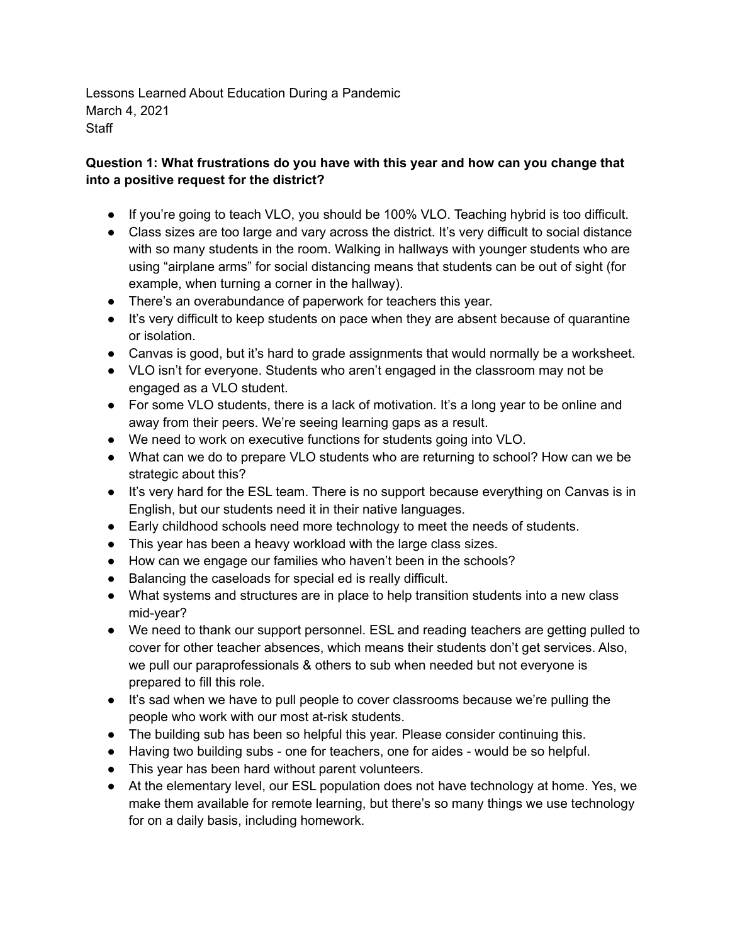Lessons Learned About Education During a Pandemic March 4, 2021 **Staff** 

## **Question 1: What frustrations do you have with this year and how can you change that into a positive request for the district?**

- If you're going to teach VLO, you should be 100% VLO. Teaching hybrid is too difficult.
- Class sizes are too large and vary across the district. It's very difficult to social distance with so many students in the room. Walking in hallways with younger students who are using "airplane arms" for social distancing means that students can be out of sight (for example, when turning a corner in the hallway).
- There's an overabundance of paperwork for teachers this year.
- It's very difficult to keep students on pace when they are absent because of quarantine or isolation.
- Canvas is good, but it's hard to grade assignments that would normally be a worksheet.
- VLO isn't for everyone. Students who aren't engaged in the classroom may not be engaged as a VLO student.
- For some VLO students, there is a lack of motivation. It's a long year to be online and away from their peers. We're seeing learning gaps as a result.
- We need to work on executive functions for students going into VLO.
- What can we do to prepare VLO students who are returning to school? How can we be strategic about this?
- It's very hard for the ESL team. There is no support because everything on Canvas is in English, but our students need it in their native languages.
- Early childhood schools need more technology to meet the needs of students.
- This year has been a heavy workload with the large class sizes.
- How can we engage our families who haven't been in the schools?
- Balancing the caseloads for special ed is really difficult.
- What systems and structures are in place to help transition students into a new class mid-year?
- We need to thank our support personnel. ESL and reading teachers are getting pulled to cover for other teacher absences, which means their students don't get services. Also, we pull our paraprofessionals & others to sub when needed but not everyone is prepared to fill this role.
- It's sad when we have to pull people to cover classrooms because we're pulling the people who work with our most at-risk students.
- The building sub has been so helpful this year. Please consider continuing this.
- Having two building subs one for teachers, one for aides would be so helpful.
- This year has been hard without parent volunteers.
- At the elementary level, our ESL population does not have technology at home. Yes, we make them available for remote learning, but there's so many things we use technology for on a daily basis, including homework.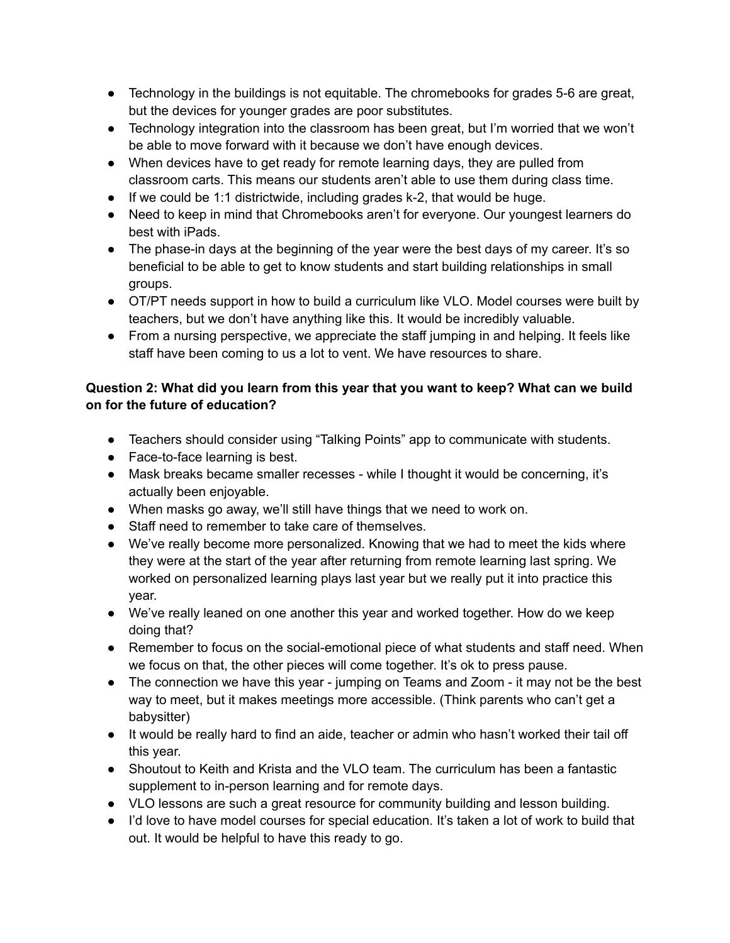- Technology in the buildings is not equitable. The chromebooks for grades 5-6 are great, but the devices for younger grades are poor substitutes.
- Technology integration into the classroom has been great, but I'm worried that we won't be able to move forward with it because we don't have enough devices.
- When devices have to get ready for remote learning days, they are pulled from classroom carts. This means our students aren't able to use them during class time.
- If we could be 1:1 districtwide, including grades k-2, that would be huge.
- Need to keep in mind that Chromebooks aren't for everyone. Our youngest learners do best with iPads.
- The phase-in days at the beginning of the year were the best days of my career. It's so beneficial to be able to get to know students and start building relationships in small groups.
- OT/PT needs support in how to build a curriculum like VLO. Model courses were built by teachers, but we don't have anything like this. It would be incredibly valuable.
- From a nursing perspective, we appreciate the staff jumping in and helping. It feels like staff have been coming to us a lot to vent. We have resources to share.

## **Question 2: What did you learn from this year that you want to keep? What can we build on for the future of education?**

- Teachers should consider using "Talking Points" app to communicate with students.
- Face-to-face learning is best.
- Mask breaks became smaller recesses while I thought it would be concerning, it's actually been enjoyable.
- When masks go away, we'll still have things that we need to work on.
- Staff need to remember to take care of themselves.
- We've really become more personalized. Knowing that we had to meet the kids where they were at the start of the year after returning from remote learning last spring. We worked on personalized learning plays last year but we really put it into practice this year.
- We've really leaned on one another this year and worked together. How do we keep doing that?
- Remember to focus on the social-emotional piece of what students and staff need. When we focus on that, the other pieces will come together. It's ok to press pause.
- The connection we have this year jumping on Teams and Zoom it may not be the best way to meet, but it makes meetings more accessible. (Think parents who can't get a babysitter)
- It would be really hard to find an aide, teacher or admin who hasn't worked their tail off this year.
- Shoutout to Keith and Krista and the VLO team. The curriculum has been a fantastic supplement to in-person learning and for remote days.
- VLO lessons are such a great resource for community building and lesson building.
- I'd love to have model courses for special education. It's taken a lot of work to build that out. It would be helpful to have this ready to go.